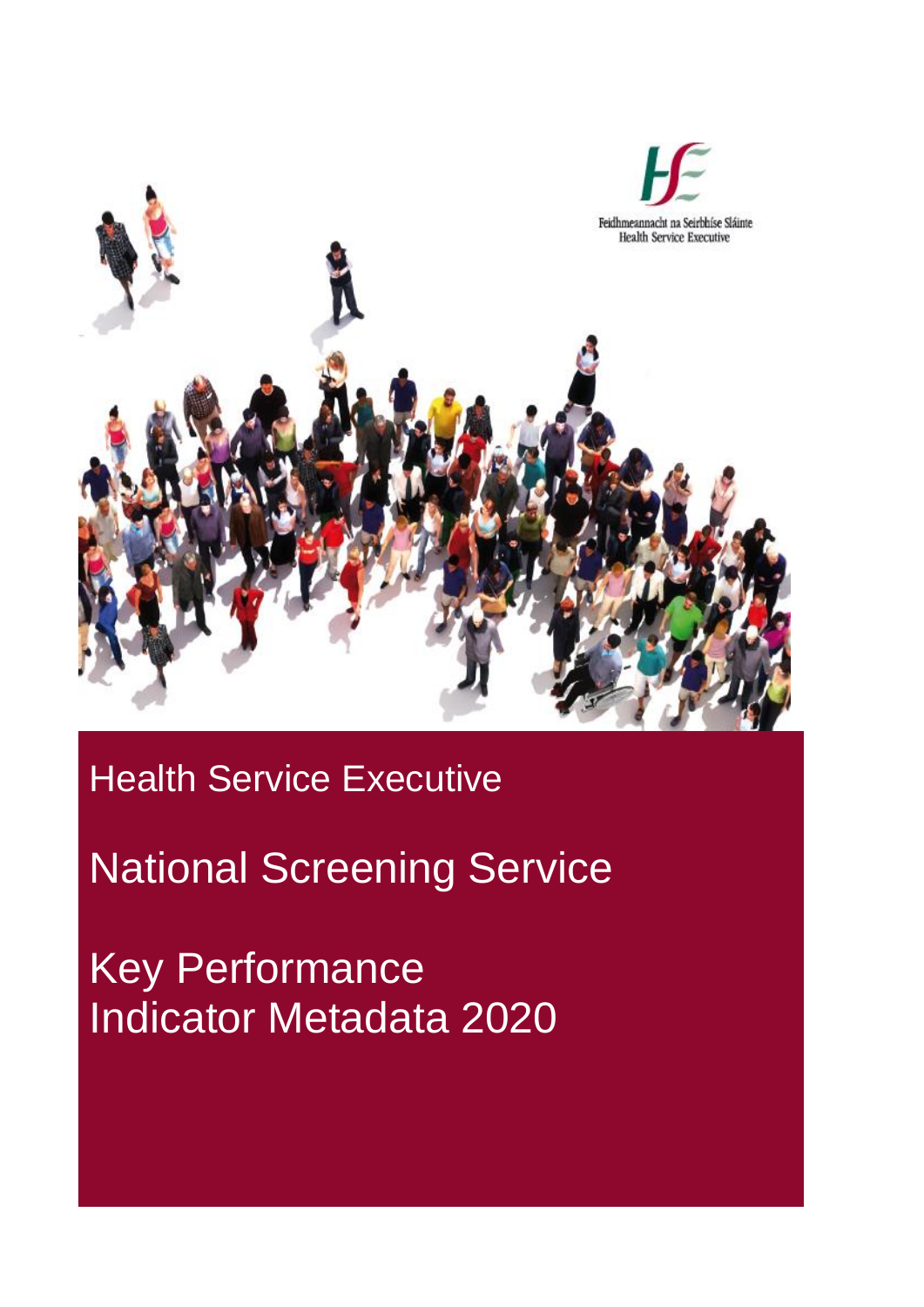

## Health Service Executive

## National Screening Service

Key Performance Indicator Metadata 2020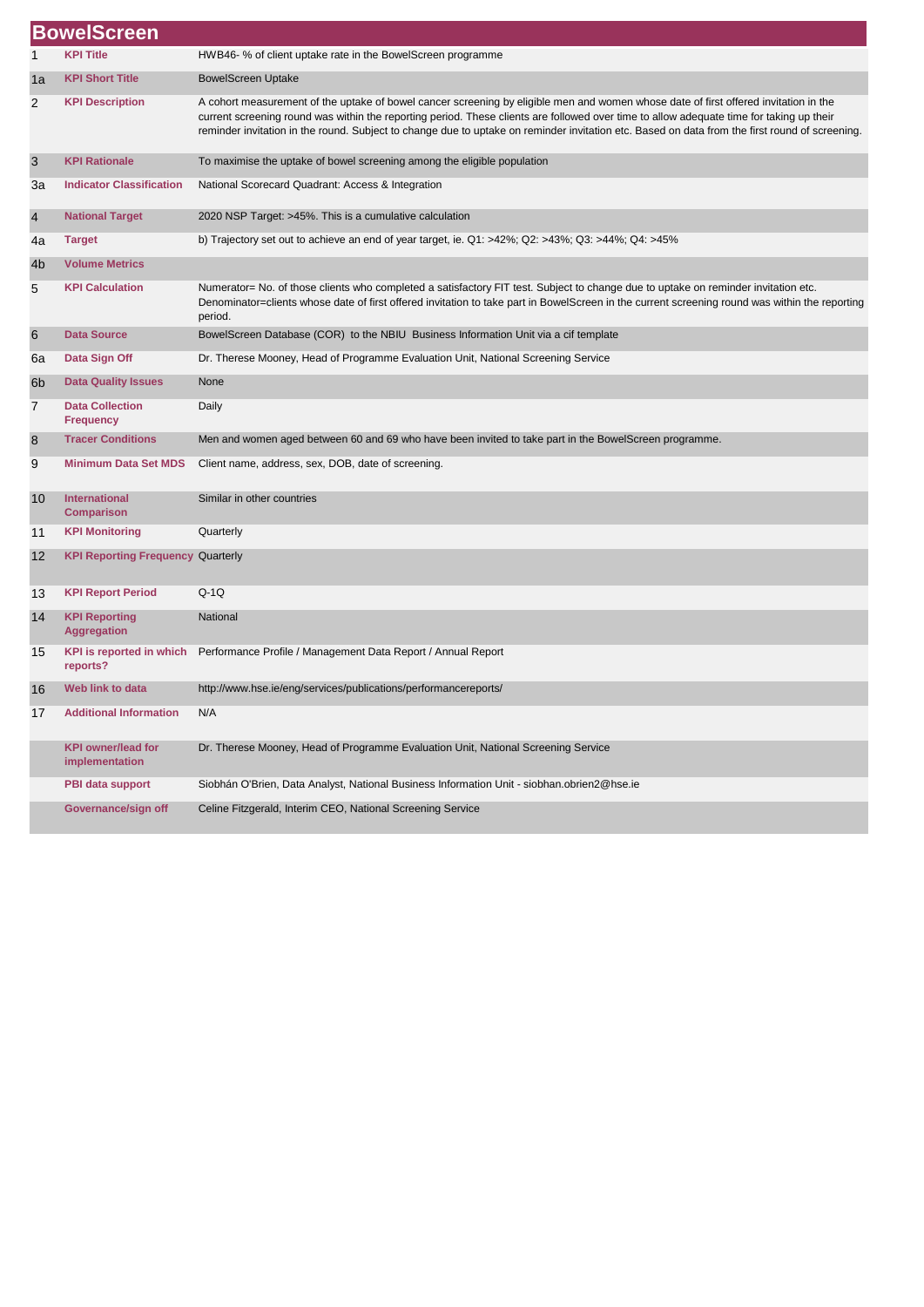|                | <b>BowelScreen</b>                          |                                                                                                                                                                                                                                                                                                                                                                                                                                    |
|----------------|---------------------------------------------|------------------------------------------------------------------------------------------------------------------------------------------------------------------------------------------------------------------------------------------------------------------------------------------------------------------------------------------------------------------------------------------------------------------------------------|
|                | <b>KPI Title</b>                            | HWB46-% of client uptake rate in the BowelScreen programme                                                                                                                                                                                                                                                                                                                                                                         |
| 1a             | <b>KPI Short Title</b>                      | <b>BowelScreen Uptake</b>                                                                                                                                                                                                                                                                                                                                                                                                          |
| $\overline{2}$ | <b>KPI Description</b>                      | A cohort measurement of the uptake of bowel cancer screening by eligible men and women whose date of first offered invitation in the<br>current screening round was within the reporting period. These clients are followed over time to allow adequate time for taking up their<br>reminder invitation in the round. Subject to change due to uptake on reminder invitation etc. Based on data from the first round of screening. |
| 3              | <b>KPI Rationale</b>                        | To maximise the uptake of bowel screening among the eligible population                                                                                                                                                                                                                                                                                                                                                            |
| Зa             | <b>Indicator Classification</b>             | National Scorecard Quadrant: Access & Integration                                                                                                                                                                                                                                                                                                                                                                                  |
| 4              | <b>National Target</b>                      | 2020 NSP Target: >45%. This is a cumulative calculation                                                                                                                                                                                                                                                                                                                                                                            |
| 4a             | <b>Target</b>                               | b) Trajectory set out to achieve an end of year target, ie. $Q1: >42\%$ ; $Q2: >43\%$ ; $Q3: >44\%$ ; $Q4: >45\%$                                                                                                                                                                                                                                                                                                                  |
| 4b             | <b>Volume Metrics</b>                       |                                                                                                                                                                                                                                                                                                                                                                                                                                    |
| 5              | <b>KPI Calculation</b>                      | Numerator= No. of those clients who completed a satisfactory FIT test. Subject to change due to uptake on reminder invitation etc.<br>Denominator=clients whose date of first offered invitation to take part in BowelScreen in the current screening round was within the reporting<br>period.                                                                                                                                    |
| 6              | <b>Data Source</b>                          | BowelScreen Database (COR) to the NBIU Business Information Unit via a cif template                                                                                                                                                                                                                                                                                                                                                |
| 6a             | Data Sign Off                               | Dr. Therese Mooney, Head of Programme Evaluation Unit, National Screening Service                                                                                                                                                                                                                                                                                                                                                  |
| 6b             | <b>Data Quality Issues</b>                  | None                                                                                                                                                                                                                                                                                                                                                                                                                               |
| 7              | <b>Data Collection</b><br><b>Frequency</b>  | Daily                                                                                                                                                                                                                                                                                                                                                                                                                              |
| 8              | <b>Tracer Conditions</b>                    | Men and women aged between 60 and 69 who have been invited to take part in the BowelScreen programme.                                                                                                                                                                                                                                                                                                                              |
| 9              | <b>Minimum Data Set MDS</b>                 | Client name, address, sex, DOB, date of screening.                                                                                                                                                                                                                                                                                                                                                                                 |
| 10             | <b>International</b><br><b>Comparison</b>   | Similar in other countries                                                                                                                                                                                                                                                                                                                                                                                                         |
| 11             | <b>KPI Monitoring</b>                       | Quarterly                                                                                                                                                                                                                                                                                                                                                                                                                          |
| 12             | <b>KPI Reporting Frequency Quarterly</b>    |                                                                                                                                                                                                                                                                                                                                                                                                                                    |
| 13             | <b>KPI Report Period</b>                    | $Q-1Q$                                                                                                                                                                                                                                                                                                                                                                                                                             |
| 14             | <b>KPI Reporting</b><br><b>Aggregation</b>  | National                                                                                                                                                                                                                                                                                                                                                                                                                           |
| 15             | <b>KPI</b> is reported in which<br>reports? | Performance Profile / Management Data Report / Annual Report                                                                                                                                                                                                                                                                                                                                                                       |
| 16             | Web link to data                            | http://www.hse.ie/eng/services/publications/performancereports/                                                                                                                                                                                                                                                                                                                                                                    |
| 17             | <b>Additional Information</b>               | N/A                                                                                                                                                                                                                                                                                                                                                                                                                                |
|                | <b>KPI owner/lead for</b><br>implementation | Dr. Therese Mooney, Head of Programme Evaluation Unit, National Screening Service                                                                                                                                                                                                                                                                                                                                                  |
|                | PBI data support                            | Siobhán O'Brien, Data Analyst, National Business Information Unit - siobhan.obrien2@hse.ie                                                                                                                                                                                                                                                                                                                                         |
|                | Governance/sign off                         | Celine Fitzgerald, Interim CEO, National Screening Service                                                                                                                                                                                                                                                                                                                                                                         |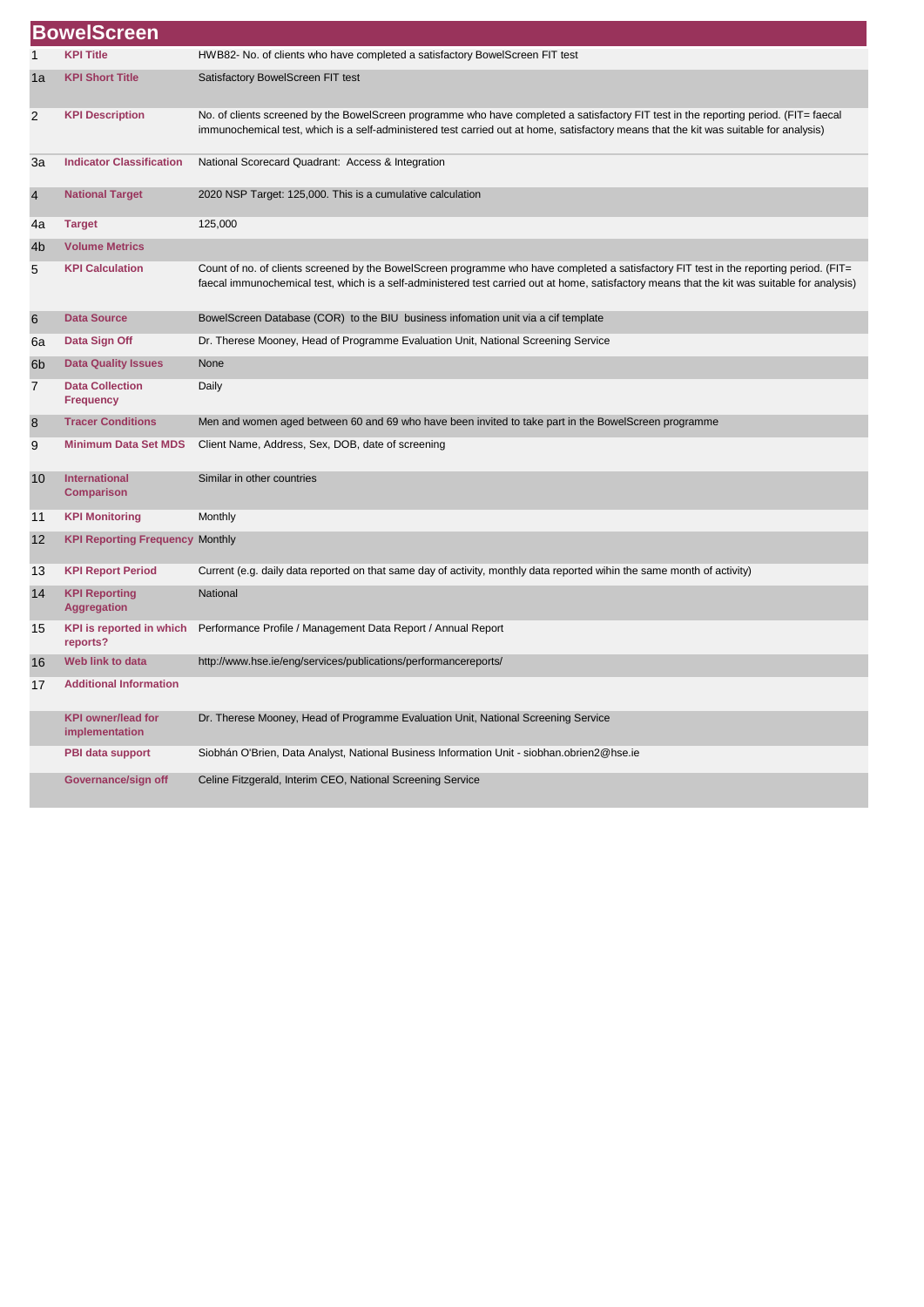|                | <b>BowelScreen</b>                          |                                                                                                                                                                                                                                                                                          |
|----------------|---------------------------------------------|------------------------------------------------------------------------------------------------------------------------------------------------------------------------------------------------------------------------------------------------------------------------------------------|
| 1              | <b>KPI Title</b>                            | HWB82- No. of clients who have completed a satisfactory BowelScreen FIT test                                                                                                                                                                                                             |
| 1a             | <b>KPI Short Title</b>                      | Satisfactory BowelScreen FIT test                                                                                                                                                                                                                                                        |
| 2              | <b>KPI Description</b>                      | No. of clients screened by the BowelScreen programme who have completed a satisfactory FIT test in the reporting period. (FIT= faecal<br>immunochemical test, which is a self-administered test carried out at home, satisfactory means that the kit was suitable for analysis)          |
| 3a             | <b>Indicator Classification</b>             | National Scorecard Quadrant: Access & Integration                                                                                                                                                                                                                                        |
| 4              | <b>National Target</b>                      | 2020 NSP Target: 125,000. This is a cumulative calculation                                                                                                                                                                                                                               |
| 4a             | <b>Target</b>                               | 125,000                                                                                                                                                                                                                                                                                  |
| 4b             | <b>Volume Metrics</b>                       |                                                                                                                                                                                                                                                                                          |
| 5              | <b>KPI Calculation</b>                      | Count of no. of clients screened by the BowelScreen programme who have completed a satisfactory FIT test in the reporting period. (FIT=<br>faecal immunochemical test, which is a self-administered test carried out at home, satisfactory means that the kit was suitable for analysis) |
| $6\phantom{1}$ | <b>Data Source</b>                          | BowelScreen Database (COR) to the BIU business infomation unit via a cif template                                                                                                                                                                                                        |
| 6a             | Data Sign Off                               | Dr. Therese Mooney, Head of Programme Evaluation Unit, National Screening Service                                                                                                                                                                                                        |
| 6b             | <b>Data Quality Issues</b>                  | None                                                                                                                                                                                                                                                                                     |
| 7              | <b>Data Collection</b><br><b>Frequency</b>  | Daily                                                                                                                                                                                                                                                                                    |
| 8              | <b>Tracer Conditions</b>                    | Men and women aged between 60 and 69 who have been invited to take part in the BowelScreen programme                                                                                                                                                                                     |
| 9              | <b>Minimum Data Set MDS</b>                 | Client Name, Address, Sex, DOB, date of screening                                                                                                                                                                                                                                        |
| 10             | <b>International</b><br><b>Comparison</b>   | Similar in other countries                                                                                                                                                                                                                                                               |
| 11             | <b>KPI Monitoring</b>                       | Monthly                                                                                                                                                                                                                                                                                  |
| 12             | <b>KPI Reporting Frequency Monthly</b>      |                                                                                                                                                                                                                                                                                          |
| 13             | <b>KPI Report Period</b>                    | Current (e.g. daily data reported on that same day of activity, monthly data reported wihin the same month of activity)                                                                                                                                                                  |
| 14             | <b>KPI Reporting</b><br><b>Aggregation</b>  | National                                                                                                                                                                                                                                                                                 |
| 15             | <b>KPI</b> is reported in which<br>reports? | Performance Profile / Management Data Report / Annual Report                                                                                                                                                                                                                             |
| 16             | Web link to data                            | http://www.hse.ie/eng/services/publications/performancereports/                                                                                                                                                                                                                          |
| 17             | <b>Additional Information</b>               |                                                                                                                                                                                                                                                                                          |
|                | <b>KPI owner/lead for</b><br>implementation | Dr. Therese Mooney, Head of Programme Evaluation Unit, National Screening Service                                                                                                                                                                                                        |
|                | PBI data support                            | Siobhán O'Brien, Data Analyst, National Business Information Unit - siobhan.obrien2@hse.ie                                                                                                                                                                                               |
|                | Governance/sign off                         | Celine Fitzgerald, Interim CEO, National Screening Service                                                                                                                                                                                                                               |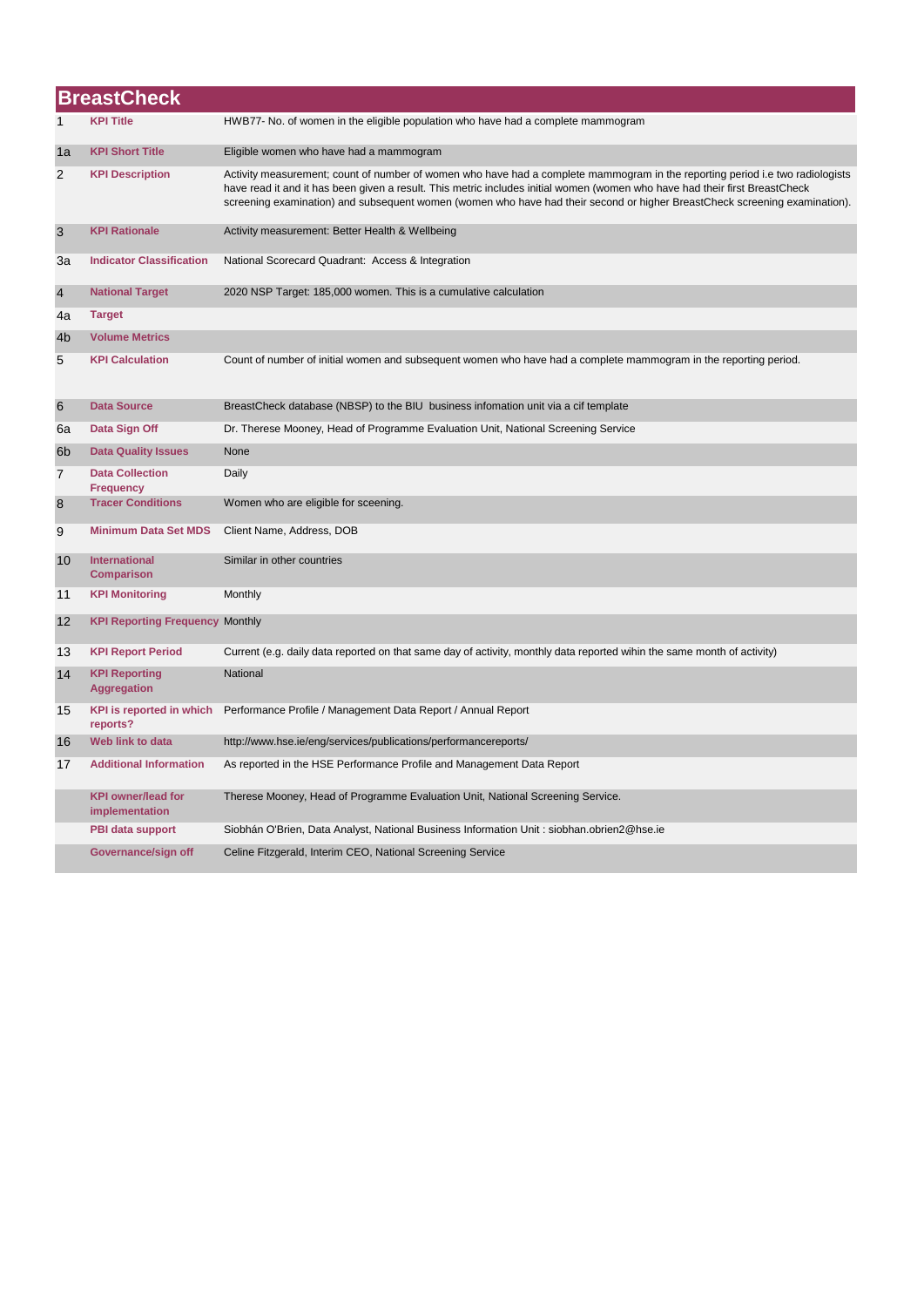|                | <b>BreastCheck</b>                          |                                                                                                                                                                                                                                                                                                                                                                                            |  |
|----------------|---------------------------------------------|--------------------------------------------------------------------------------------------------------------------------------------------------------------------------------------------------------------------------------------------------------------------------------------------------------------------------------------------------------------------------------------------|--|
| 1              | <b>KPI Title</b>                            | HWB77- No. of women in the eligible population who have had a complete mammogram                                                                                                                                                                                                                                                                                                           |  |
| 1a             | <b>KPI Short Title</b>                      | Eligible women who have had a mammogram                                                                                                                                                                                                                                                                                                                                                    |  |
| 2              | <b>KPI Description</b>                      | Activity measurement; count of number of women who have had a complete mammogram in the reporting period i.e two radiologists<br>have read it and it has been given a result. This metric includes initial women (women who have had their first BreastCheck<br>screening examination) and subsequent women (women who have had their second or higher BreastCheck screening examination). |  |
| 3              | <b>KPI Rationale</b>                        | Activity measurement: Better Health & Wellbeing                                                                                                                                                                                                                                                                                                                                            |  |
| За             | <b>Indicator Classification</b>             | National Scorecard Quadrant: Access & Integration                                                                                                                                                                                                                                                                                                                                          |  |
| $\overline{4}$ | <b>National Target</b>                      | 2020 NSP Target: 185,000 women. This is a cumulative calculation                                                                                                                                                                                                                                                                                                                           |  |
| 4a             | <b>Target</b>                               |                                                                                                                                                                                                                                                                                                                                                                                            |  |
| 4 <sub>b</sub> | <b>Volume Metrics</b>                       |                                                                                                                                                                                                                                                                                                                                                                                            |  |
| 5              | <b>KPI Calculation</b>                      | Count of number of initial women and subsequent women who have had a complete mammogram in the reporting period.                                                                                                                                                                                                                                                                           |  |
| 6              | <b>Data Source</b>                          | BreastCheck database (NBSP) to the BIU business infomation unit via a cif template                                                                                                                                                                                                                                                                                                         |  |
| 6a             | Data Sign Off                               | Dr. Therese Mooney, Head of Programme Evaluation Unit, National Screening Service                                                                                                                                                                                                                                                                                                          |  |
| 6 <sub>b</sub> | <b>Data Quality Issues</b>                  | None                                                                                                                                                                                                                                                                                                                                                                                       |  |
| 7              | <b>Data Collection</b><br><b>Frequency</b>  | Daily                                                                                                                                                                                                                                                                                                                                                                                      |  |
| 8              | <b>Tracer Conditions</b>                    | Women who are eligible for sceening.                                                                                                                                                                                                                                                                                                                                                       |  |
| 9              | <b>Minimum Data Set MDS</b>                 | Client Name, Address, DOB                                                                                                                                                                                                                                                                                                                                                                  |  |
| 10             | International<br><b>Comparison</b>          | Similar in other countries                                                                                                                                                                                                                                                                                                                                                                 |  |
| 11             | <b>KPI Monitoring</b>                       | Monthly                                                                                                                                                                                                                                                                                                                                                                                    |  |
| 12             | <b>KPI Reporting Frequency Monthly</b>      |                                                                                                                                                                                                                                                                                                                                                                                            |  |
| 13             | <b>KPI Report Period</b>                    | Current (e.g. daily data reported on that same day of activity, monthly data reported wihin the same month of activity)                                                                                                                                                                                                                                                                    |  |
| 14             | <b>KPI Reporting</b><br><b>Aggregation</b>  | National                                                                                                                                                                                                                                                                                                                                                                                   |  |
| 15             | KPI is reported in which<br>reports?        | Performance Profile / Management Data Report / Annual Report                                                                                                                                                                                                                                                                                                                               |  |
| 16             | Web link to data                            | http://www.hse.ie/eng/services/publications/performancereports/                                                                                                                                                                                                                                                                                                                            |  |
| 17             | <b>Additional Information</b>               | As reported in the HSE Performance Profile and Management Data Report                                                                                                                                                                                                                                                                                                                      |  |
|                | <b>KPI owner/lead for</b><br>implementation | Therese Mooney, Head of Programme Evaluation Unit, National Screening Service.                                                                                                                                                                                                                                                                                                             |  |
|                | <b>PBI data support</b>                     | Siobhán O'Brien, Data Analyst, National Business Information Unit: siobhan.obrien2@hse.ie                                                                                                                                                                                                                                                                                                  |  |
|                | Governance/sign off                         | Celine Fitzgerald, Interim CEO, National Screening Service                                                                                                                                                                                                                                                                                                                                 |  |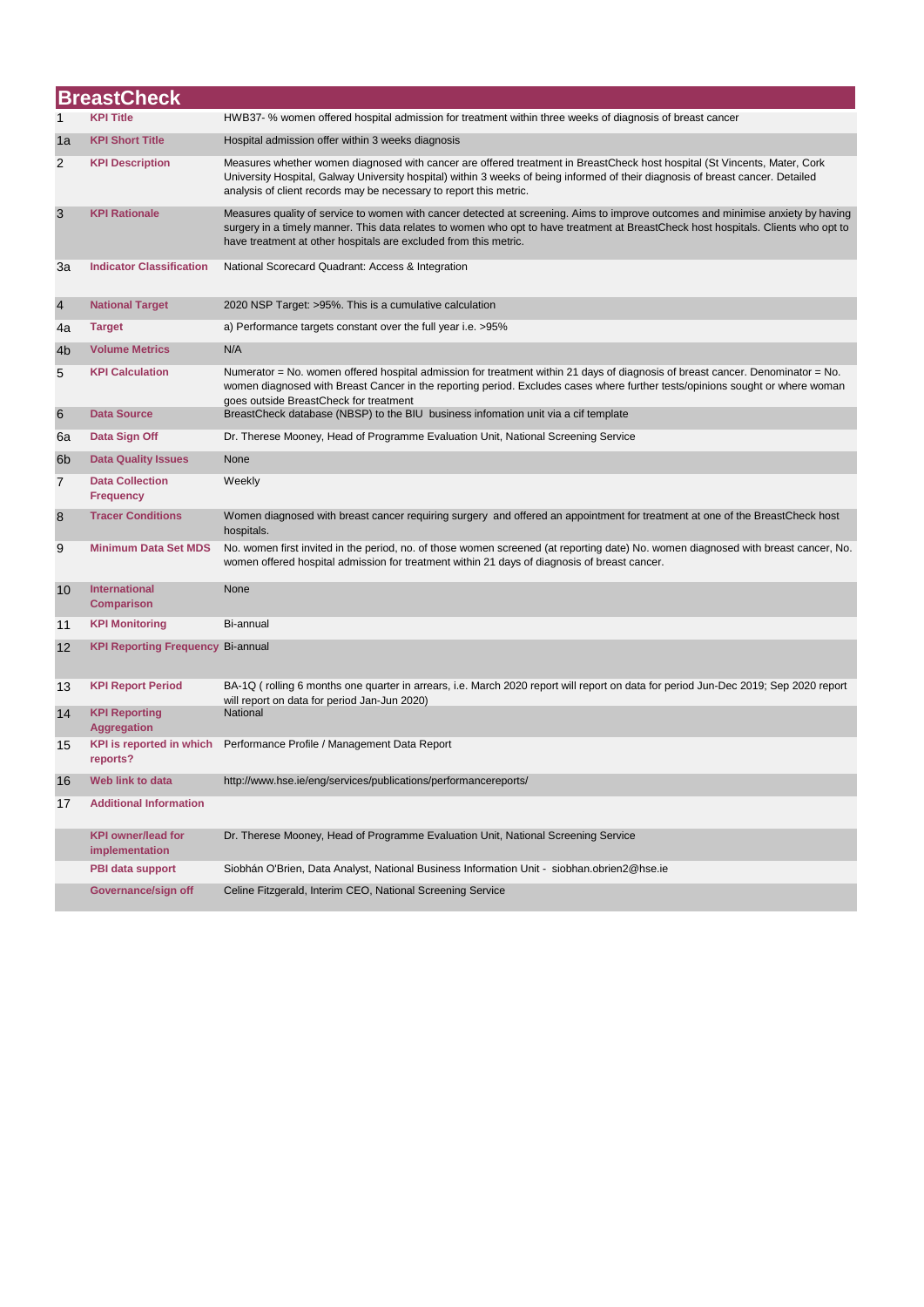|                | <b>BreastCheck</b>                          |                                                                                                                                                                                                                                                                                                                                           |  |  |
|----------------|---------------------------------------------|-------------------------------------------------------------------------------------------------------------------------------------------------------------------------------------------------------------------------------------------------------------------------------------------------------------------------------------------|--|--|
| 1              | <b>KPI Title</b>                            | HWB37- % women offered hospital admission for treatment within three weeks of diagnosis of breast cancer                                                                                                                                                                                                                                  |  |  |
| 1a             | <b>KPI Short Title</b>                      | Hospital admission offer within 3 weeks diagnosis                                                                                                                                                                                                                                                                                         |  |  |
| 2              | <b>KPI Description</b>                      | Measures whether women diagnosed with cancer are offered treatment in BreastCheck host hospital (St Vincents, Mater, Cork<br>University Hospital, Galway University hospital) within 3 weeks of being informed of their diagnosis of breast cancer. Detailed<br>analysis of client records may be necessary to report this metric.        |  |  |
| 3              | <b>KPI Rationale</b>                        | Measures quality of service to women with cancer detected at screening. Aims to improve outcomes and minimise anxiety by having<br>surgery in a timely manner. This data relates to women who opt to have treatment at BreastCheck host hospitals. Clients who opt to<br>have treatment at other hospitals are excluded from this metric. |  |  |
| 3a             | <b>Indicator Classification</b>             | National Scorecard Quadrant: Access & Integration                                                                                                                                                                                                                                                                                         |  |  |
| $\overline{4}$ | <b>National Target</b>                      | 2020 NSP Target: >95%. This is a cumulative calculation                                                                                                                                                                                                                                                                                   |  |  |
| 4a             | <b>Target</b>                               | a) Performance targets constant over the full year i.e. >95%                                                                                                                                                                                                                                                                              |  |  |
| 4 <sub>b</sub> | <b>Volume Metrics</b>                       | N/A                                                                                                                                                                                                                                                                                                                                       |  |  |
| 5              | <b>KPI Calculation</b>                      | Numerator = No. women offered hospital admission for treatment within 21 days of diagnosis of breast cancer. Denominator = No.<br>women diagnosed with Breast Cancer in the reporting period. Excludes cases where further tests/opinions sought or where woman<br>goes outside BreastCheck for treatment                                 |  |  |
| 6              | <b>Data Source</b>                          | BreastCheck database (NBSP) to the BIU business infomation unit via a cif template                                                                                                                                                                                                                                                        |  |  |
| 6a             | Data Sign Off                               | Dr. Therese Mooney, Head of Programme Evaluation Unit, National Screening Service                                                                                                                                                                                                                                                         |  |  |
| 6 <sub>b</sub> | <b>Data Quality Issues</b>                  | None                                                                                                                                                                                                                                                                                                                                      |  |  |
| 7              | <b>Data Collection</b><br><b>Frequency</b>  | Weekly                                                                                                                                                                                                                                                                                                                                    |  |  |
| 8              | <b>Tracer Conditions</b>                    | Women diagnosed with breast cancer requiring surgery and offered an appointment for treatment at one of the BreastCheck host<br>hospitals.                                                                                                                                                                                                |  |  |
| 9              | <b>Minimum Data Set MDS</b>                 | No. women first invited in the period, no. of those women screened (at reporting date) No. women diagnosed with breast cancer, No.<br>women offered hospital admission for treatment within 21 days of diagnosis of breast cancer.                                                                                                        |  |  |
| 10             | <b>International</b><br><b>Comparison</b>   | None                                                                                                                                                                                                                                                                                                                                      |  |  |
| 11             | <b>KPI Monitoring</b>                       | Bi-annual                                                                                                                                                                                                                                                                                                                                 |  |  |
| 12             | <b>KPI Reporting Frequency Bi-annual</b>    |                                                                                                                                                                                                                                                                                                                                           |  |  |
| 13             | <b>KPI Report Period</b>                    | BA-1Q (rolling 6 months one quarter in arrears, i.e. March 2020 report will report on data for period Jun-Dec 2019; Sep 2020 report                                                                                                                                                                                                       |  |  |
| 14             | <b>KPI Reporting</b><br><b>Aggregation</b>  | will report on data for period Jan-Jun 2020)<br>National                                                                                                                                                                                                                                                                                  |  |  |
| 15             | KPI is reported in which<br>reports?        | Performance Profile / Management Data Report                                                                                                                                                                                                                                                                                              |  |  |
| 16             | Web link to data                            | http://www.hse.ie/eng/services/publications/performancereports/                                                                                                                                                                                                                                                                           |  |  |
| 17             | <b>Additional Information</b>               |                                                                                                                                                                                                                                                                                                                                           |  |  |
|                | <b>KPI owner/lead for</b><br>implementation | Dr. Therese Mooney, Head of Programme Evaluation Unit, National Screening Service                                                                                                                                                                                                                                                         |  |  |
|                | PBI data support                            | Siobhán O'Brien, Data Analyst, National Business Information Unit - siobhan.obrien2@hse.ie                                                                                                                                                                                                                                                |  |  |
|                | Governance/sign off                         | Celine Fitzgerald, Interim CEO, National Screening Service                                                                                                                                                                                                                                                                                |  |  |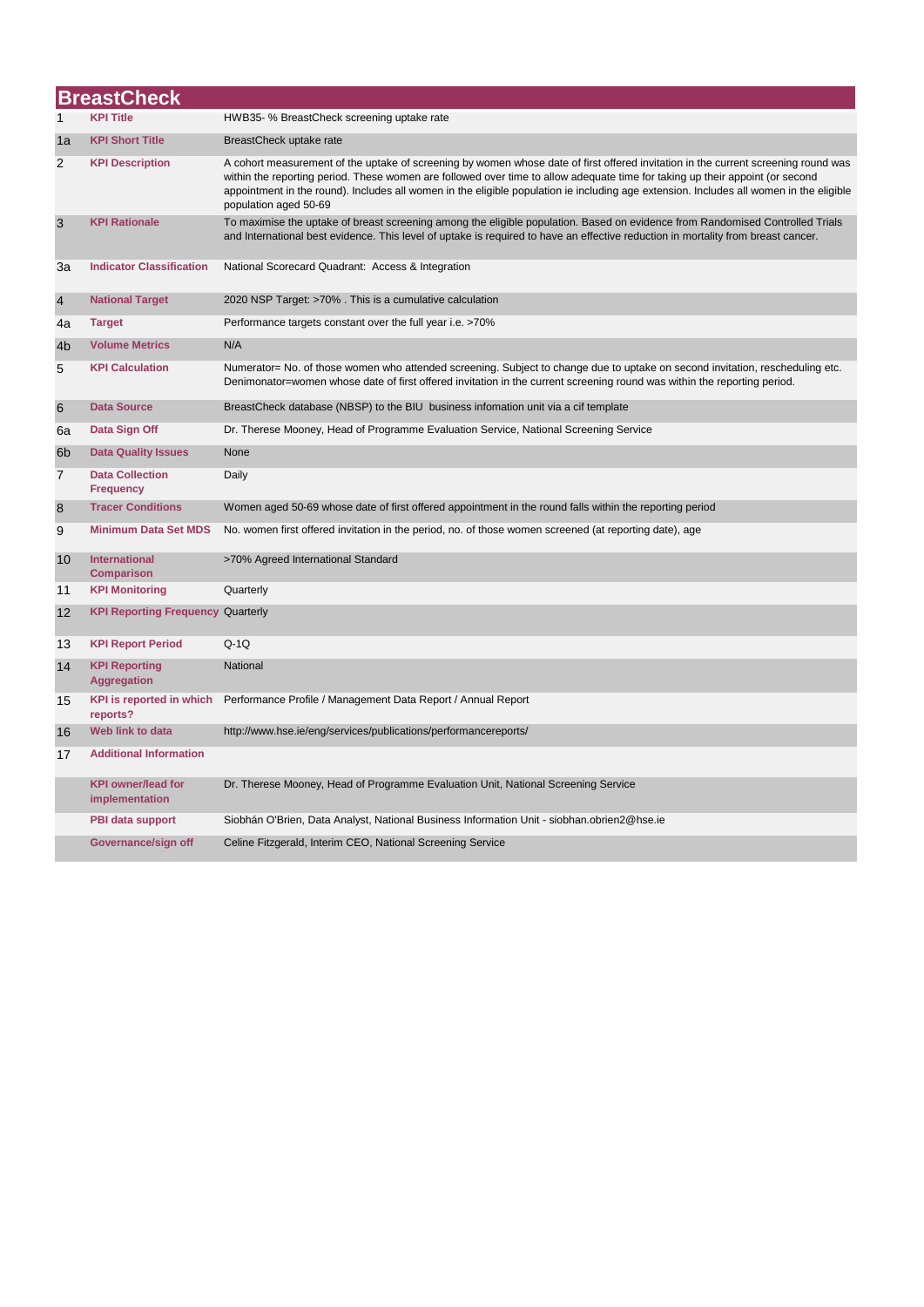|                | <b>BreastCheck</b>                          |                                                                                                                                                                                                                                                                                                                                                                                                                                         |  |  |
|----------------|---------------------------------------------|-----------------------------------------------------------------------------------------------------------------------------------------------------------------------------------------------------------------------------------------------------------------------------------------------------------------------------------------------------------------------------------------------------------------------------------------|--|--|
| 1              | KPI Title                                   | HWB35- % BreastCheck screening uptake rate                                                                                                                                                                                                                                                                                                                                                                                              |  |  |
| 1a             | <b>KPI Short Title</b>                      | BreastCheck uptake rate                                                                                                                                                                                                                                                                                                                                                                                                                 |  |  |
| 2              | <b>KPI Description</b>                      | A cohort measurement of the uptake of screening by women whose date of first offered invitation in the current screening round was<br>within the reporting period. These women are followed over time to allow adequate time for taking up their appoint (or second<br>appointment in the round). Includes all women in the eligible population ie including age extension. Includes all women in the eligible<br>population aged 50-69 |  |  |
| 3              | <b>KPI Rationale</b>                        | To maximise the uptake of breast screening among the eligible population. Based on evidence from Randomised Controlled Trials<br>and International best evidence. This level of uptake is required to have an effective reduction in mortality from breast cancer.                                                                                                                                                                      |  |  |
| За             | <b>Indicator Classification</b>             | National Scorecard Quadrant: Access & Integration                                                                                                                                                                                                                                                                                                                                                                                       |  |  |
| $\overline{4}$ | <b>National Target</b>                      | 2020 NSP Target: >70%. This is a cumulative calculation                                                                                                                                                                                                                                                                                                                                                                                 |  |  |
| 4a             | <b>Target</b>                               | Performance targets constant over the full year i.e. >70%                                                                                                                                                                                                                                                                                                                                                                               |  |  |
| 4 <sub>b</sub> | <b>Volume Metrics</b>                       | N/A                                                                                                                                                                                                                                                                                                                                                                                                                                     |  |  |
| 5              | <b>KPI Calculation</b>                      | Numerator= No. of those women who attended screening. Subject to change due to uptake on second invitation, rescheduling etc.<br>Denimonator=women whose date of first offered invitation in the current screening round was within the reporting period.                                                                                                                                                                               |  |  |
| 6              | <b>Data Source</b>                          | BreastCheck database (NBSP) to the BIU business infomation unit via a cif template                                                                                                                                                                                                                                                                                                                                                      |  |  |
| 6a             | Data Sign Off                               | Dr. Therese Mooney, Head of Programme Evaluation Service, National Screening Service                                                                                                                                                                                                                                                                                                                                                    |  |  |
| 6 <sub>b</sub> | <b>Data Quality Issues</b>                  | None                                                                                                                                                                                                                                                                                                                                                                                                                                    |  |  |
| $\overline{7}$ | <b>Data Collection</b><br><b>Frequency</b>  | Daily                                                                                                                                                                                                                                                                                                                                                                                                                                   |  |  |
| $\bf 8$        | <b>Tracer Conditions</b>                    | Women aged 50-69 whose date of first offered appointment in the round falls within the reporting period                                                                                                                                                                                                                                                                                                                                 |  |  |
| 9              | <b>Minimum Data Set MDS</b>                 | No. women first offered invitation in the period, no. of those women screened (at reporting date), age                                                                                                                                                                                                                                                                                                                                  |  |  |
| 10             | <b>International</b><br><b>Comparison</b>   | >70% Agreed International Standard                                                                                                                                                                                                                                                                                                                                                                                                      |  |  |
| 11             | <b>KPI Monitoring</b>                       | Quarterly                                                                                                                                                                                                                                                                                                                                                                                                                               |  |  |
| 12             | <b>KPI Reporting Frequency Quarterly</b>    |                                                                                                                                                                                                                                                                                                                                                                                                                                         |  |  |
| 13             | <b>KPI Report Period</b>                    | $Q-1Q$                                                                                                                                                                                                                                                                                                                                                                                                                                  |  |  |
| 14             | <b>KPI Reporting</b><br><b>Aggregation</b>  | National                                                                                                                                                                                                                                                                                                                                                                                                                                |  |  |
| 15             | <b>KPI</b> is reported in which<br>reports? | Performance Profile / Management Data Report / Annual Report                                                                                                                                                                                                                                                                                                                                                                            |  |  |
| 16             | Web link to data                            | http://www.hse.ie/eng/services/publications/performancereports/                                                                                                                                                                                                                                                                                                                                                                         |  |  |
| 17             | <b>Additional Information</b>               |                                                                                                                                                                                                                                                                                                                                                                                                                                         |  |  |
|                | <b>KPI owner/lead for</b><br>implementation | Dr. Therese Mooney, Head of Programme Evaluation Unit, National Screening Service                                                                                                                                                                                                                                                                                                                                                       |  |  |
|                | <b>PBI data support</b>                     | Siobhán O'Brien, Data Analyst, National Business Information Unit - siobhan.obrien2@hse.ie                                                                                                                                                                                                                                                                                                                                              |  |  |
|                | Governance/sign off                         | Celine Fitzgerald, Interim CEO, National Screening Service                                                                                                                                                                                                                                                                                                                                                                              |  |  |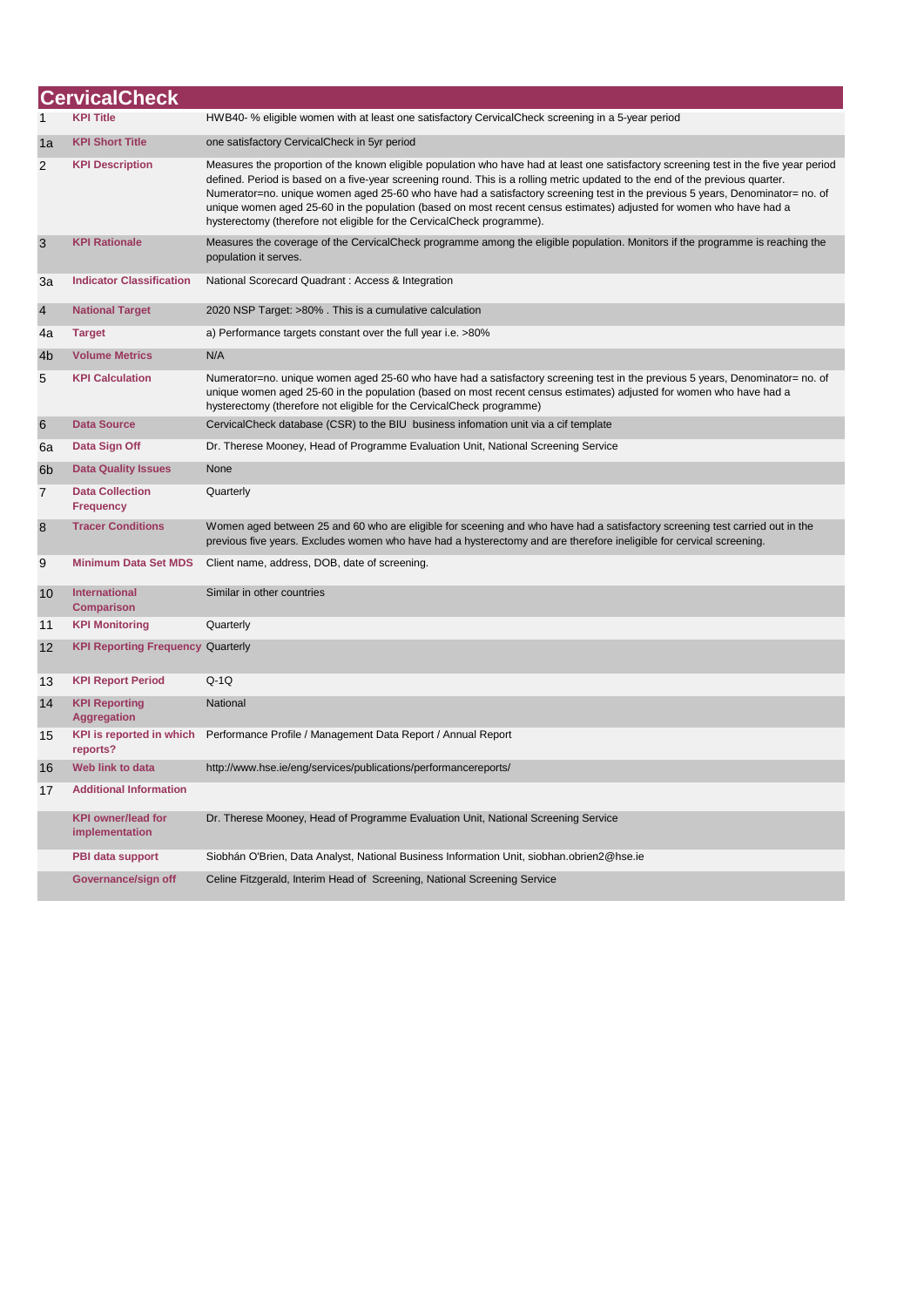|                | <b>CervicalCheck</b>                        |                                                                                                                                                                                                                                                                                                                                                                                                                                                                                                                                                                                                           |
|----------------|---------------------------------------------|-----------------------------------------------------------------------------------------------------------------------------------------------------------------------------------------------------------------------------------------------------------------------------------------------------------------------------------------------------------------------------------------------------------------------------------------------------------------------------------------------------------------------------------------------------------------------------------------------------------|
|                |                                             | HWB40- % eligible women with at least one satisfactory CervicalCheck screening in a 5-year period                                                                                                                                                                                                                                                                                                                                                                                                                                                                                                         |
| 1a             | <b>KPI Short Title</b>                      | one satisfactory CervicalCheck in 5yr period                                                                                                                                                                                                                                                                                                                                                                                                                                                                                                                                                              |
| $\overline{2}$ | <b>KPI Description</b>                      | Measures the proportion of the known eligible population who have had at least one satisfactory screening test in the five year period<br>defined. Period is based on a five-year screening round. This is a rolling metric updated to the end of the previous quarter.<br>Numerator=no. unique women aged 25-60 who have had a satisfactory screening test in the previous 5 years, Denominator= no. of<br>unique women aged 25-60 in the population (based on most recent census estimates) adjusted for women who have had a<br>hysterectomy (therefore not eligible for the CervicalCheck programme). |
| 3              | <b>KPI Rationale</b>                        | Measures the coverage of the CervicalCheck programme among the eligible population. Monitors if the programme is reaching the<br>population it serves.                                                                                                                                                                                                                                                                                                                                                                                                                                                    |
| 3a             | <b>Indicator Classification</b>             | National Scorecard Quadrant : Access & Integration                                                                                                                                                                                                                                                                                                                                                                                                                                                                                                                                                        |
| $\overline{4}$ | <b>National Target</b>                      | 2020 NSP Target: >80% . This is a cumulative calculation                                                                                                                                                                                                                                                                                                                                                                                                                                                                                                                                                  |
| 4a             | <b>Target</b>                               | a) Performance targets constant over the full year i.e. >80%                                                                                                                                                                                                                                                                                                                                                                                                                                                                                                                                              |
| 4 <sub>b</sub> | <b>Volume Metrics</b>                       | N/A                                                                                                                                                                                                                                                                                                                                                                                                                                                                                                                                                                                                       |
| 5              | <b>KPI Calculation</b>                      | Numerator=no. unique women aged 25-60 who have had a satisfactory screening test in the previous 5 years, Denominator= no. of<br>unique women aged 25-60 in the population (based on most recent census estimates) adjusted for women who have had a<br>hysterectomy (therefore not eligible for the CervicalCheck programme)                                                                                                                                                                                                                                                                             |
| 6              | <b>Data Source</b>                          | CervicalCheck database (CSR) to the BIU business infomation unit via a cif template                                                                                                                                                                                                                                                                                                                                                                                                                                                                                                                       |
| 6a             | Data Sign Off                               | Dr. Therese Mooney, Head of Programme Evaluation Unit, National Screening Service                                                                                                                                                                                                                                                                                                                                                                                                                                                                                                                         |
| 6 <sub>b</sub> | <b>Data Quality Issues</b>                  | None                                                                                                                                                                                                                                                                                                                                                                                                                                                                                                                                                                                                      |
| $\overline{7}$ | <b>Data Collection</b><br><b>Frequency</b>  | Quarterly                                                                                                                                                                                                                                                                                                                                                                                                                                                                                                                                                                                                 |
| 8              | <b>Tracer Conditions</b>                    | Women aged between 25 and 60 who are eligible for sceening and who have had a satisfactory screening test carried out in the<br>previous five years. Excludes women who have had a hysterectomy and are therefore ineligible for cervical screening.                                                                                                                                                                                                                                                                                                                                                      |
| 9              | <b>Minimum Data Set MDS</b>                 | Client name, address, DOB, date of screening.                                                                                                                                                                                                                                                                                                                                                                                                                                                                                                                                                             |
| 10             | International<br><b>Comparison</b>          | Similar in other countries                                                                                                                                                                                                                                                                                                                                                                                                                                                                                                                                                                                |
| 11             | <b>KPI Monitoring</b>                       | Quarterly                                                                                                                                                                                                                                                                                                                                                                                                                                                                                                                                                                                                 |
| 12             | <b>KPI Reporting Frequency Quarterly</b>    |                                                                                                                                                                                                                                                                                                                                                                                                                                                                                                                                                                                                           |
| 13             | <b>KPI Report Period</b>                    | $O-1O$                                                                                                                                                                                                                                                                                                                                                                                                                                                                                                                                                                                                    |
| 14             | <b>KPI Reporting</b><br><b>Aggregation</b>  | National                                                                                                                                                                                                                                                                                                                                                                                                                                                                                                                                                                                                  |
| 15             | <b>KPI is reported in which</b><br>reports? | Performance Profile / Management Data Report / Annual Report                                                                                                                                                                                                                                                                                                                                                                                                                                                                                                                                              |
| 16             | <b>Web link to data</b>                     | http://www.hse.ie/eng/services/publications/performancereports/                                                                                                                                                                                                                                                                                                                                                                                                                                                                                                                                           |
| 17             | <b>Additional Information</b>               |                                                                                                                                                                                                                                                                                                                                                                                                                                                                                                                                                                                                           |
|                | <b>KPI owner/lead for</b><br>implementation | Dr. Therese Mooney, Head of Programme Evaluation Unit, National Screening Service                                                                                                                                                                                                                                                                                                                                                                                                                                                                                                                         |
|                | <b>PBI data support</b>                     | Siobhán O'Brien, Data Analyst, National Business Information Unit, siobhan.obrien2@hse.ie                                                                                                                                                                                                                                                                                                                                                                                                                                                                                                                 |
|                | Governance/sign off                         | Celine Fitzgerald, Interim Head of Screening, National Screening Service                                                                                                                                                                                                                                                                                                                                                                                                                                                                                                                                  |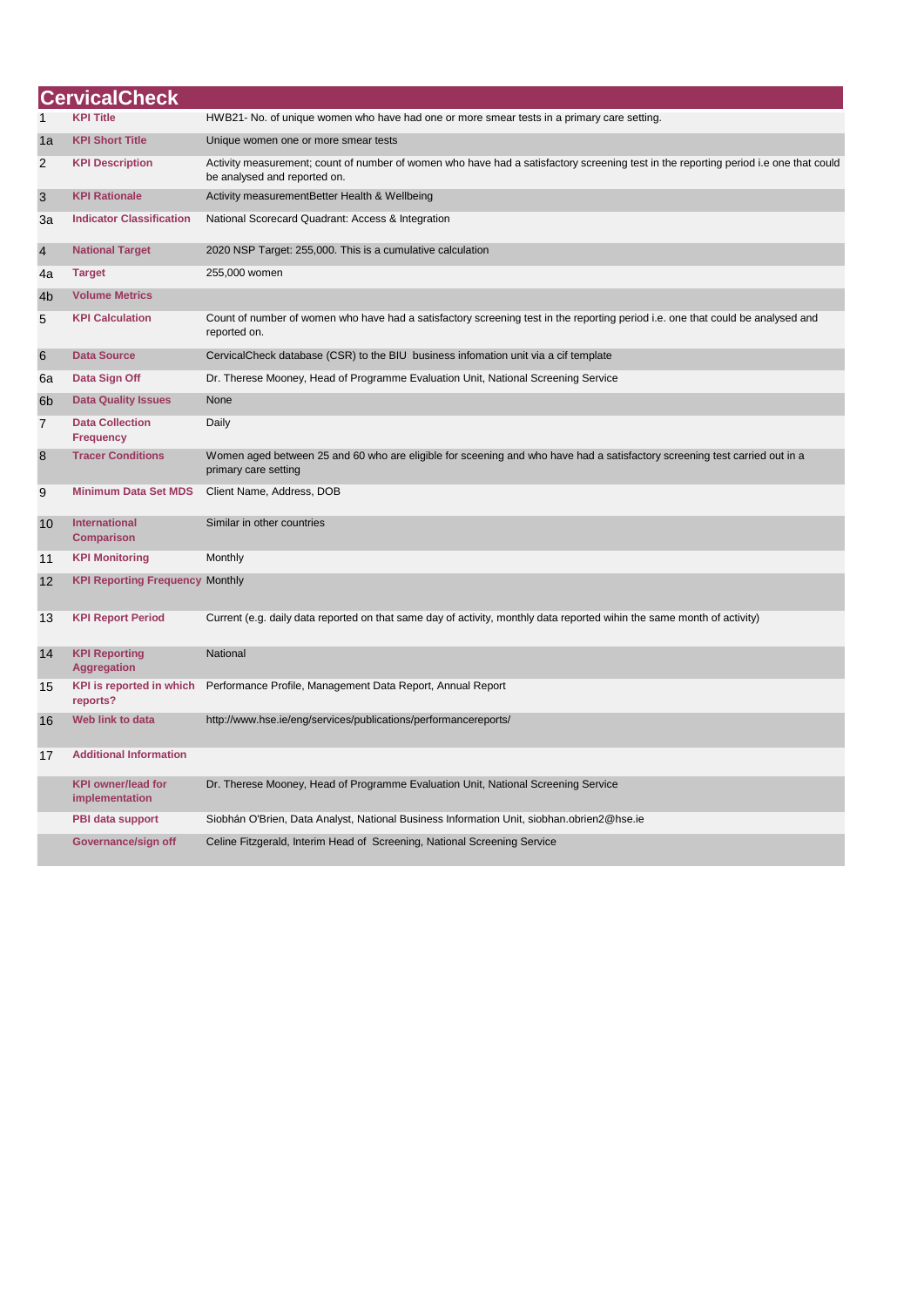|                | <b>CervicalCheck</b>                        |                                                                                                                                                                      |
|----------------|---------------------------------------------|----------------------------------------------------------------------------------------------------------------------------------------------------------------------|
| 1              | <b>KPI Title</b>                            | HWB21- No. of unique women who have had one or more smear tests in a primary care setting.                                                                           |
| 1a             | <b>KPI Short Title</b>                      | Unique women one or more smear tests                                                                                                                                 |
| 2              | <b>KPI Description</b>                      | Activity measurement; count of number of women who have had a satisfactory screening test in the reporting period i.e one that could<br>be analysed and reported on. |
| 3              | <b>KPI Rationale</b>                        | Activity measurementBetter Health & Wellbeing                                                                                                                        |
| За             | <b>Indicator Classification</b>             | National Scorecard Quadrant: Access & Integration                                                                                                                    |
| $\overline{4}$ | <b>National Target</b>                      | 2020 NSP Target: 255,000. This is a cumulative calculation                                                                                                           |
| 4a             | <b>Target</b>                               | 255,000 women                                                                                                                                                        |
| 4 <sub>b</sub> | <b>Volume Metrics</b>                       |                                                                                                                                                                      |
| 5              | <b>KPI Calculation</b>                      | Count of number of women who have had a satisfactory screening test in the reporting period i.e. one that could be analysed and<br>reported on.                      |
| 6              | <b>Data Source</b>                          | CervicalCheck database (CSR) to the BIU business infomation unit via a cif template                                                                                  |
| 6a             | Data Sign Off                               | Dr. Therese Mooney, Head of Programme Evaluation Unit, National Screening Service                                                                                    |
| 6 <sub>b</sub> | <b>Data Quality Issues</b>                  | None                                                                                                                                                                 |
| $\overline{7}$ | <b>Data Collection</b><br><b>Frequency</b>  | Daily                                                                                                                                                                |
| 8              | <b>Tracer Conditions</b>                    | Women aged between 25 and 60 who are eligible for sceening and who have had a satisfactory screening test carried out in a<br>primary care setting                   |
| 9              | <b>Minimum Data Set MDS</b>                 | Client Name, Address, DOB                                                                                                                                            |
| 10             | <b>International</b><br><b>Comparison</b>   | Similar in other countries                                                                                                                                           |
| 11             | <b>KPI Monitoring</b>                       | Monthly                                                                                                                                                              |
| 12             | <b>KPI Reporting Frequency Monthly</b>      |                                                                                                                                                                      |
| 13             | <b>KPI Report Period</b>                    | Current (e.g. daily data reported on that same day of activity, monthly data reported wihin the same month of activity)                                              |
| 14             | <b>KPI Reporting</b><br><b>Aggregation</b>  | National                                                                                                                                                             |
| 15             | <b>KPI</b> is reported in which<br>reports? | Performance Profile, Management Data Report, Annual Report                                                                                                           |
| 16             | Web link to data                            | http://www.hse.ie/eng/services/publications/performancereports/                                                                                                      |
| 17             | <b>Additional Information</b>               |                                                                                                                                                                      |
|                | <b>KPI owner/lead for</b><br>implementation | Dr. Therese Mooney, Head of Programme Evaluation Unit, National Screening Service                                                                                    |
|                | PBI data support                            | Siobhán O'Brien, Data Analyst, National Business Information Unit, siobhan.obrien2@hse.ie                                                                            |
|                | Governance/sign off                         | Celine Fitzgerald, Interim Head of Screening, National Screening Service                                                                                             |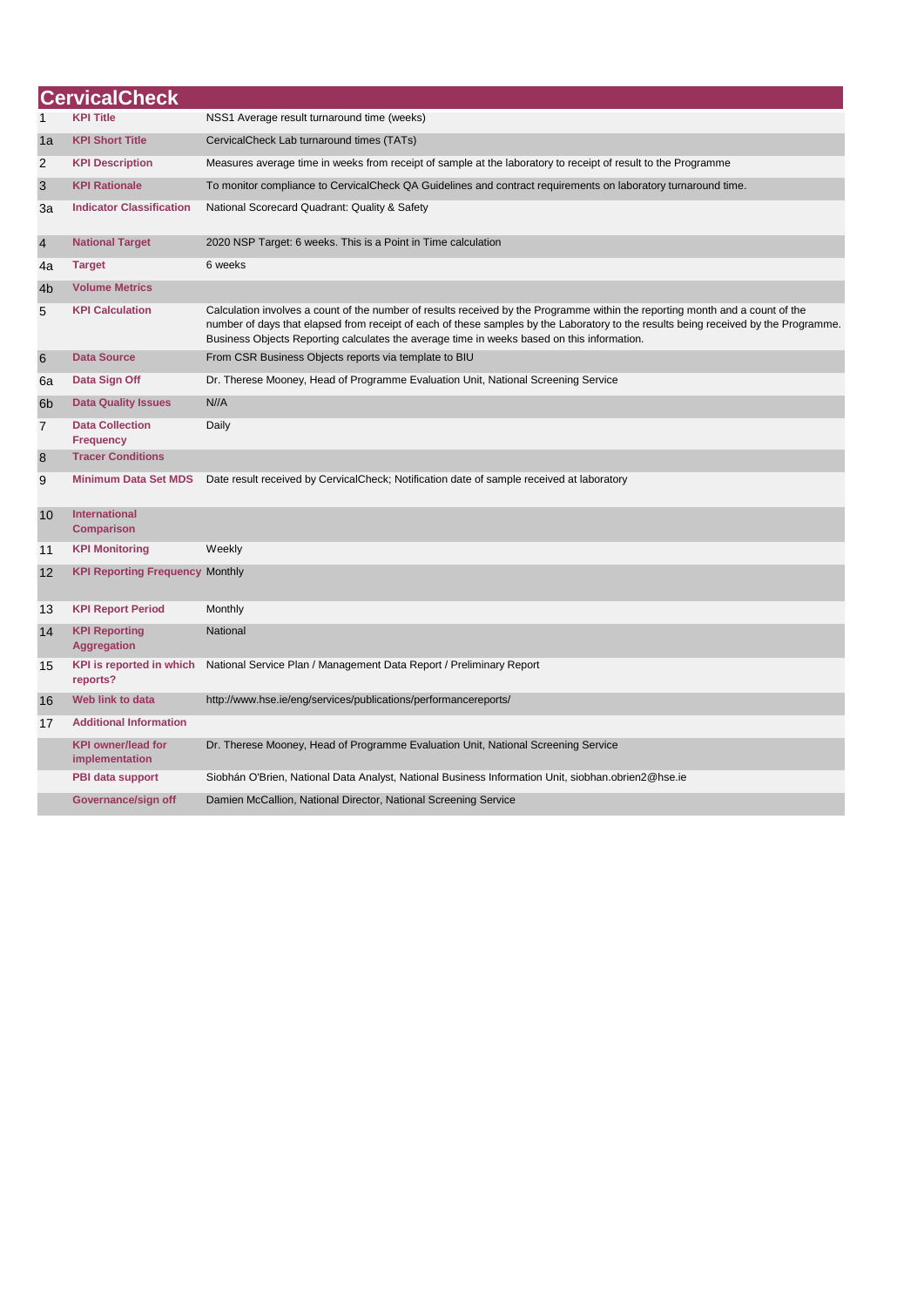|                | <b>CervicalCheck</b>                        |                                                                                                                                                                                                                                                                                                                                                                    |  |  |
|----------------|---------------------------------------------|--------------------------------------------------------------------------------------------------------------------------------------------------------------------------------------------------------------------------------------------------------------------------------------------------------------------------------------------------------------------|--|--|
| $\mathbf{1}$   | <b>KPI Title</b>                            | NSS1 Average result turnaround time (weeks)                                                                                                                                                                                                                                                                                                                        |  |  |
| 1a             | <b>KPI Short Title</b>                      | CervicalCheck Lab turnaround times (TATs)                                                                                                                                                                                                                                                                                                                          |  |  |
| 2              | <b>KPI Description</b>                      | Measures average time in weeks from receipt of sample at the laboratory to receipt of result to the Programme                                                                                                                                                                                                                                                      |  |  |
| 3              | <b>KPI Rationale</b>                        | To monitor compliance to CervicalCheck QA Guidelines and contract requirements on laboratory turnaround time.                                                                                                                                                                                                                                                      |  |  |
| За             | <b>Indicator Classification</b>             | National Scorecard Quadrant: Quality & Safety                                                                                                                                                                                                                                                                                                                      |  |  |
| $\overline{4}$ | <b>National Target</b>                      | 2020 NSP Target: 6 weeks. This is a Point in Time calculation                                                                                                                                                                                                                                                                                                      |  |  |
| 4a             | <b>Target</b>                               | 6 weeks                                                                                                                                                                                                                                                                                                                                                            |  |  |
| 4 <sub>b</sub> | <b>Volume Metrics</b>                       |                                                                                                                                                                                                                                                                                                                                                                    |  |  |
| 5              | <b>KPI Calculation</b>                      | Calculation involves a count of the number of results received by the Programme within the reporting month and a count of the<br>number of days that elapsed from receipt of each of these samples by the Laboratory to the results being received by the Programme.<br>Business Objects Reporting calculates the average time in weeks based on this information. |  |  |
| 6              | <b>Data Source</b>                          | From CSR Business Objects reports via template to BIU                                                                                                                                                                                                                                                                                                              |  |  |
| 6а             | Data Sign Off                               | Dr. Therese Mooney, Head of Programme Evaluation Unit, National Screening Service                                                                                                                                                                                                                                                                                  |  |  |
| 6 <sub>b</sub> | <b>Data Quality Issues</b>                  | N//A                                                                                                                                                                                                                                                                                                                                                               |  |  |
| $\overline{7}$ | <b>Data Collection</b><br><b>Frequency</b>  | Daily                                                                                                                                                                                                                                                                                                                                                              |  |  |
| 8              | <b>Tracer Conditions</b>                    |                                                                                                                                                                                                                                                                                                                                                                    |  |  |
| 9              | <b>Minimum Data Set MDS</b>                 | Date result received by CervicalCheck; Notification date of sample received at laboratory                                                                                                                                                                                                                                                                          |  |  |
| 10             | <b>International</b><br><b>Comparison</b>   |                                                                                                                                                                                                                                                                                                                                                                    |  |  |
| 11             | <b>KPI Monitoring</b>                       | Weekly                                                                                                                                                                                                                                                                                                                                                             |  |  |
| 12             | <b>KPI Reporting Frequency Monthly</b>      |                                                                                                                                                                                                                                                                                                                                                                    |  |  |
| 13             | <b>KPI Report Period</b>                    | Monthly                                                                                                                                                                                                                                                                                                                                                            |  |  |
| 14             | <b>KPI Reporting</b><br><b>Aggregation</b>  | National                                                                                                                                                                                                                                                                                                                                                           |  |  |
| 15             | <b>KPI</b> is reported in which<br>reports? | National Service Plan / Management Data Report / Preliminary Report                                                                                                                                                                                                                                                                                                |  |  |
| 16             | Web link to data                            | http://www.hse.ie/eng/services/publications/performancereports/                                                                                                                                                                                                                                                                                                    |  |  |
| 17             | <b>Additional Information</b>               |                                                                                                                                                                                                                                                                                                                                                                    |  |  |
|                | <b>KPI owner/lead for</b><br>implementation | Dr. Therese Mooney, Head of Programme Evaluation Unit, National Screening Service                                                                                                                                                                                                                                                                                  |  |  |
|                | PBI data support                            | Siobhán O'Brien, National Data Analyst, National Business Information Unit, siobhan.obrien2@hse.ie                                                                                                                                                                                                                                                                 |  |  |
|                | Governance/sign off                         | Damien McCallion, National Director, National Screening Service                                                                                                                                                                                                                                                                                                    |  |  |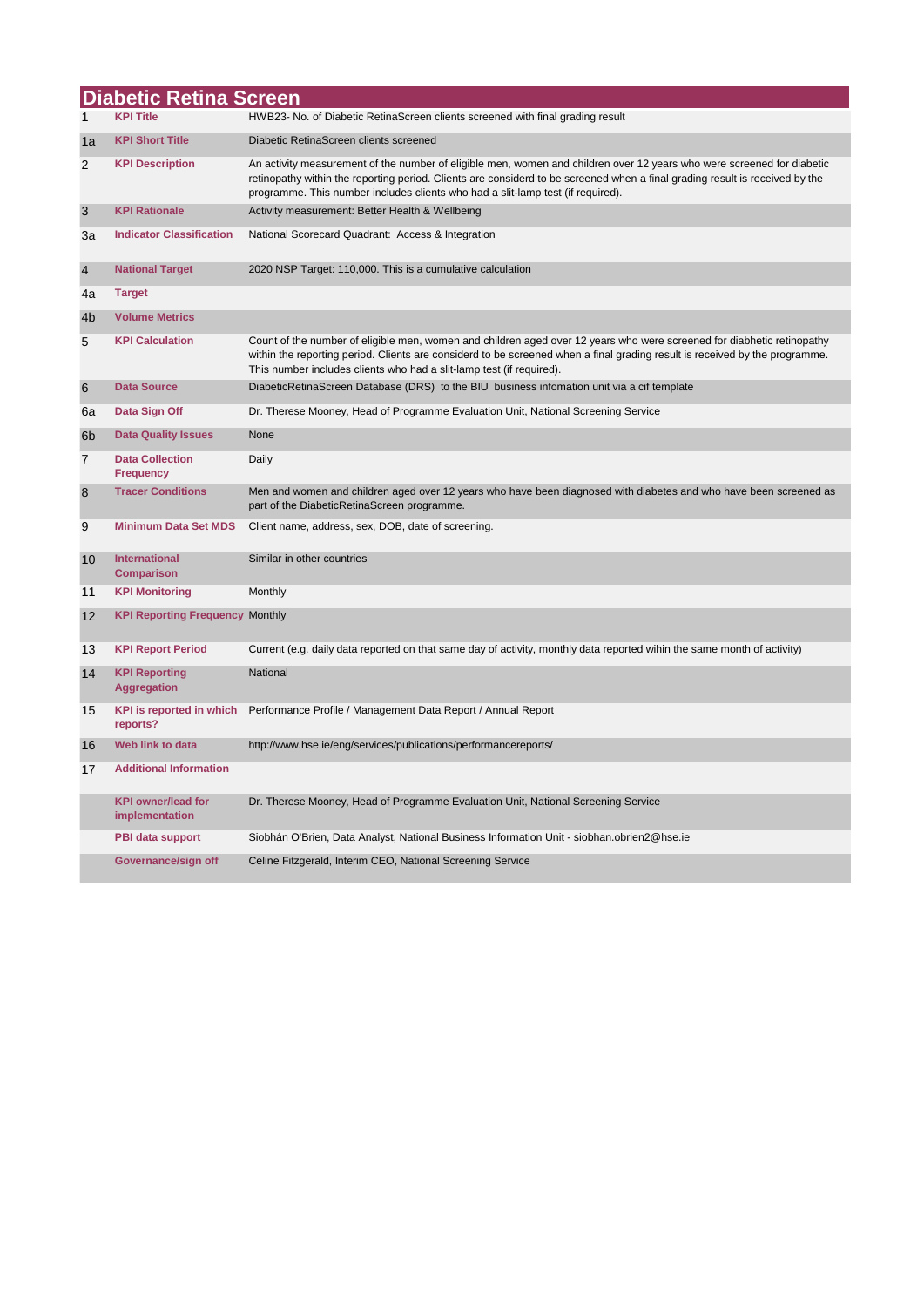|                           | <b>Diabetic Retina Screen</b>               |                                                                                                                                                                                                                                                                                                                                           |
|---------------------------|---------------------------------------------|-------------------------------------------------------------------------------------------------------------------------------------------------------------------------------------------------------------------------------------------------------------------------------------------------------------------------------------------|
| 1                         | <b>KPI Title</b>                            | HWB23- No. of Diabetic RetinaScreen clients screened with final grading result                                                                                                                                                                                                                                                            |
| 1a                        | <b>KPI Short Title</b>                      | Diabetic RetinaScreen clients screened                                                                                                                                                                                                                                                                                                    |
| $\overline{2}$            | <b>KPI Description</b>                      | An activity measurement of the number of eligible men, women and children over 12 years who were screened for diabetic<br>retinopathy within the reporting period. Clients are considerd to be screened when a final grading result is received by the<br>programme. This number includes clients who had a slit-lamp test (if required). |
| $\ensuremath{\mathsf{3}}$ | <b>KPI Rationale</b>                        | Activity measurement: Better Health & Wellbeing                                                                                                                                                                                                                                                                                           |
| За                        | <b>Indicator Classification</b>             | National Scorecard Quadrant: Access & Integration                                                                                                                                                                                                                                                                                         |
| $\overline{4}$            | <b>National Target</b>                      | 2020 NSP Target: 110,000. This is a cumulative calculation                                                                                                                                                                                                                                                                                |
| 4a                        | <b>Target</b>                               |                                                                                                                                                                                                                                                                                                                                           |
| 4 <sub>b</sub>            | <b>Volume Metrics</b>                       |                                                                                                                                                                                                                                                                                                                                           |
| 5                         | <b>KPI Calculation</b>                      | Count of the number of eligible men, women and children aged over 12 years who were screened for diabhetic retinopathy<br>within the reporting period. Clients are considerd to be screened when a final grading result is received by the programme.<br>This number includes clients who had a slit-lamp test (if required).             |
| 6                         | <b>Data Source</b>                          | DiabeticRetinaScreen Database (DRS) to the BIU business information unit via a cif template                                                                                                                                                                                                                                               |
| 6a                        | Data Sign Off                               | Dr. Therese Mooney, Head of Programme Evaluation Unit, National Screening Service                                                                                                                                                                                                                                                         |
| 6 <sub>b</sub>            | <b>Data Quality Issues</b>                  | None                                                                                                                                                                                                                                                                                                                                      |
| $\overline{7}$            | <b>Data Collection</b><br><b>Frequency</b>  | Daily                                                                                                                                                                                                                                                                                                                                     |
| 8                         | <b>Tracer Conditions</b>                    | Men and women and children aged over 12 years who have been diagnosed with diabetes and who have been screened as<br>part of the DiabeticRetinaScreen programme.                                                                                                                                                                          |
| 9                         | <b>Minimum Data Set MDS</b>                 | Client name, address, sex, DOB, date of screening.                                                                                                                                                                                                                                                                                        |
| 10                        | International<br><b>Comparison</b>          | Similar in other countries                                                                                                                                                                                                                                                                                                                |
| 11                        | <b>KPI Monitoring</b>                       | Monthly                                                                                                                                                                                                                                                                                                                                   |
| 12                        | <b>KPI Reporting Frequency Monthly</b>      |                                                                                                                                                                                                                                                                                                                                           |
| 13                        | <b>KPI Report Period</b>                    | Current (e.g. daily data reported on that same day of activity, monthly data reported wihin the same month of activity)                                                                                                                                                                                                                   |
| 14                        | <b>KPI Reporting</b><br><b>Aggregation</b>  | <b>National</b>                                                                                                                                                                                                                                                                                                                           |
| 15                        | <b>KPI is reported in which</b><br>reports? | Performance Profile / Management Data Report / Annual Report                                                                                                                                                                                                                                                                              |
| 16                        | Web link to data                            | http://www.hse.ie/eng/services/publications/performancereports/                                                                                                                                                                                                                                                                           |
| 17                        | <b>Additional Information</b>               |                                                                                                                                                                                                                                                                                                                                           |
|                           | <b>KPI owner/lead for</b><br>implementation | Dr. Therese Mooney, Head of Programme Evaluation Unit, National Screening Service                                                                                                                                                                                                                                                         |
|                           | <b>PBI data support</b>                     | Siobhán O'Brien, Data Analyst, National Business Information Unit - siobhan.obrien2@hse.ie                                                                                                                                                                                                                                                |
|                           | Governance/sign off                         | Celine Fitzgerald, Interim CEO, National Screening Service                                                                                                                                                                                                                                                                                |